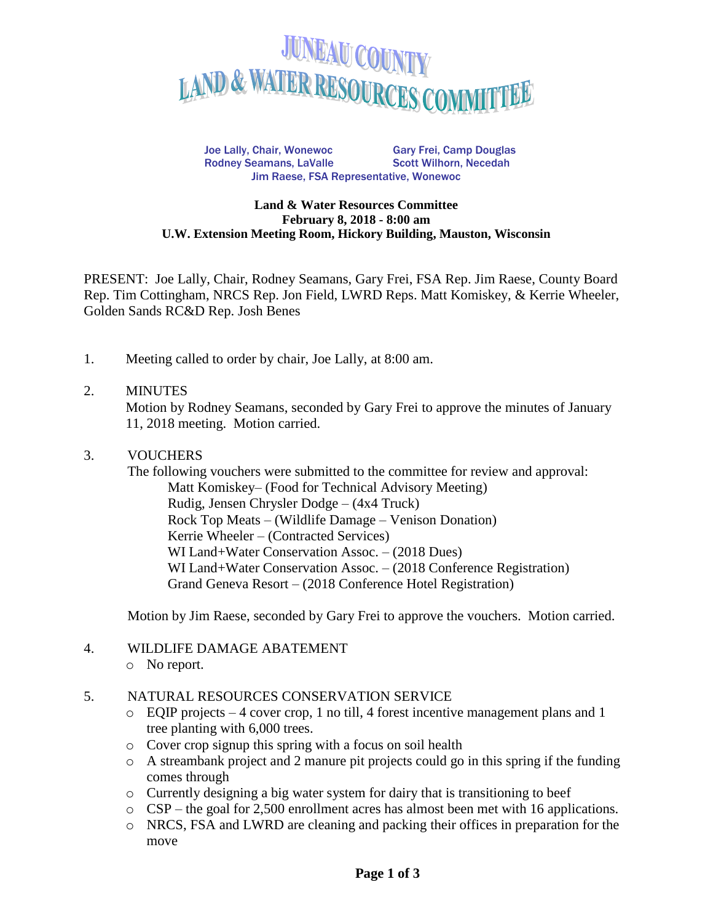

Joe Lally, Chair, Wonewoc Gary Frei, Camp Douglas Rodney Seamans, LaValle Scott Wilhorn, Necedah Jim Raese, FSA Representative, Wonewoc

#### **Land & Water Resources Committee February 8, 2018 - 8:00 am U.W. Extension Meeting Room, Hickory Building, Mauston, Wisconsin**

PRESENT: Joe Lally, Chair, Rodney Seamans, Gary Frei, FSA Rep. Jim Raese, County Board Rep. Tim Cottingham, NRCS Rep. Jon Field, LWRD Reps. Matt Komiskey, & Kerrie Wheeler, Golden Sands RC&D Rep. Josh Benes

1. Meeting called to order by chair, Joe Lally, at 8:00 am.

#### 2. MINUTES

Motion by Rodney Seamans, seconded by Gary Frei to approve the minutes of January 11, 2018 meeting. Motion carried.

#### 3. VOUCHERS

The following vouchers were submitted to the committee for review and approval: Matt Komiskey– (Food for Technical Advisory Meeting) Rudig, Jensen Chrysler Dodge – (4x4 Truck) Rock Top Meats – (Wildlife Damage – Venison Donation) Kerrie Wheeler – (Contracted Services) WI Land+Water Conservation Assoc. – (2018 Dues) WI Land+Water Conservation Assoc. – (2018 Conference Registration) Grand Geneva Resort – (2018 Conference Hotel Registration)

Motion by Jim Raese, seconded by Gary Frei to approve the vouchers. Motion carried.

### 4. WILDLIFE DAMAGE ABATEMENT

- o No report.
- 5. NATURAL RESOURCES CONSERVATION SERVICE
	- o EQIP projects 4 cover crop, 1 no till, 4 forest incentive management plans and 1 tree planting with 6,000 trees.
	- o Cover crop signup this spring with a focus on soil health
	- $\circ$  A streambank project and 2 manure pit projects could go in this spring if the funding comes through
	- o Currently designing a big water system for dairy that is transitioning to beef
	- o CSP the goal for 2,500 enrollment acres has almost been met with 16 applications.
	- o NRCS, FSA and LWRD are cleaning and packing their offices in preparation for the move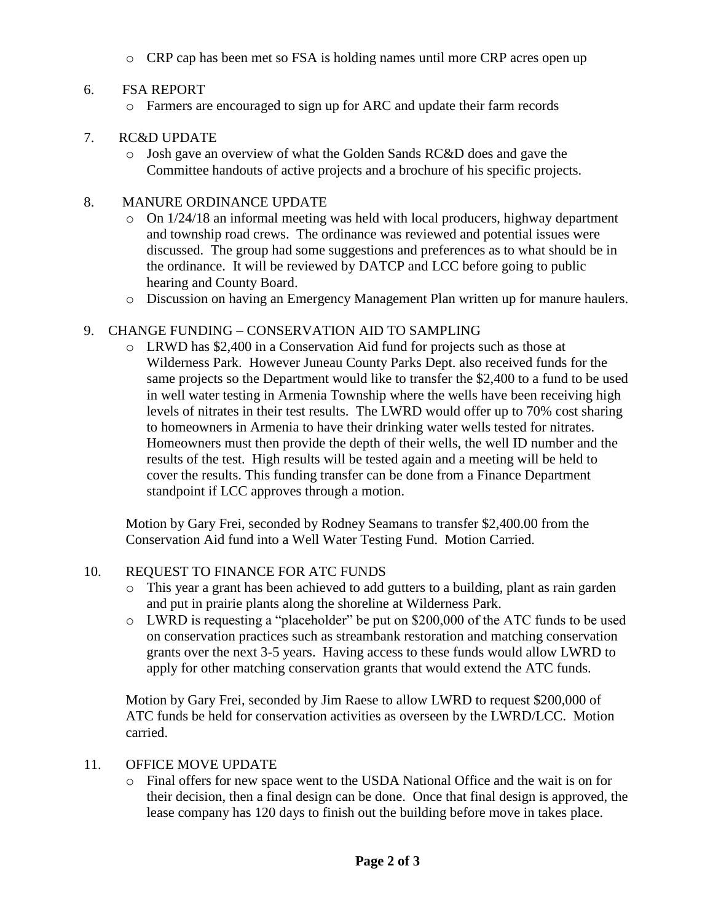o CRP cap has been met so FSA is holding names until more CRP acres open up

# 6. FSA REPORT

o Farmers are encouraged to sign up for ARC and update their farm records

# 7. RC&D UPDATE

o Josh gave an overview of what the Golden Sands RC&D does and gave the Committee handouts of active projects and a brochure of his specific projects.

# 8. MANURE ORDINANCE UPDATE

- $\circ$  On 1/24/18 an informal meeting was held with local producers, highway department and township road crews. The ordinance was reviewed and potential issues were discussed. The group had some suggestions and preferences as to what should be in the ordinance. It will be reviewed by DATCP and LCC before going to public hearing and County Board.
- o Discussion on having an Emergency Management Plan written up for manure haulers.

# 9. CHANGE FUNDING – CONSERVATION AID TO SAMPLING

o LRWD has \$2,400 in a Conservation Aid fund for projects such as those at Wilderness Park. However Juneau County Parks Dept. also received funds for the same projects so the Department would like to transfer the \$2,400 to a fund to be used in well water testing in Armenia Township where the wells have been receiving high levels of nitrates in their test results. The LWRD would offer up to 70% cost sharing to homeowners in Armenia to have their drinking water wells tested for nitrates. Homeowners must then provide the depth of their wells, the well ID number and the results of the test. High results will be tested again and a meeting will be held to cover the results. This funding transfer can be done from a Finance Department standpoint if LCC approves through a motion.

Motion by Gary Frei, seconded by Rodney Seamans to transfer \$2,400.00 from the Conservation Aid fund into a Well Water Testing Fund. Motion Carried.

### 10. REQUEST TO FINANCE FOR ATC FUNDS

- o This year a grant has been achieved to add gutters to a building, plant as rain garden and put in prairie plants along the shoreline at Wilderness Park.
- o LWRD is requesting a "placeholder" be put on \$200,000 of the ATC funds to be used on conservation practices such as streambank restoration and matching conservation grants over the next 3-5 years. Having access to these funds would allow LWRD to apply for other matching conservation grants that would extend the ATC funds.

Motion by Gary Frei, seconded by Jim Raese to allow LWRD to request \$200,000 of ATC funds be held for conservation activities as overseen by the LWRD/LCC. Motion carried.

### 11. OFFICE MOVE UPDATE

o Final offers for new space went to the USDA National Office and the wait is on for their decision, then a final design can be done. Once that final design is approved, the lease company has 120 days to finish out the building before move in takes place.